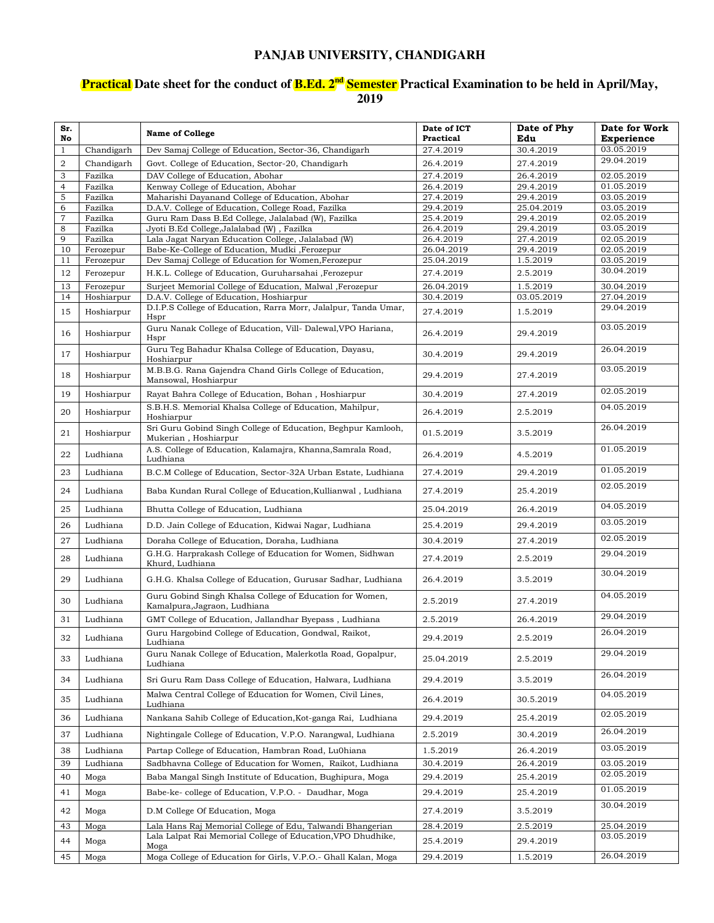## **PANJAB UNIVERSITY, CHANDIGARH**

## **Practical Date sheet for the conduct of B.Ed. 2nd Semester Practical Examination to be held in April/May, 2019**

| Sr.<br>No                     |                         | <b>Name of College</b>                                                                               | Date of ICT<br>Practical | Date of Phy<br>Edu     | Date for Work<br><b>Experience</b> |
|-------------------------------|-------------------------|------------------------------------------------------------------------------------------------------|--------------------------|------------------------|------------------------------------|
| $\mathbf{1}$                  | Chandigarh              | Dev Samaj College of Education, Sector-36, Chandigarh                                                | 27.4.2019                | 30.4.2019              | 03.05.2019                         |
| $\overline{a}$                | Chandigarh              | Govt. College of Education, Sector-20, Chandigarh                                                    | 26.4.2019                | 27.4.2019              | 29.04.2019                         |
| 3                             | Fazilka                 | DAV College of Education, Abohar                                                                     | 27.4.2019                | 26.4.2019              | 02.05.2019                         |
| $\overline{4}$<br>$\mathbf 5$ | Fazilka<br>Fazilka      | Kenway College of Education, Abohar<br>Maharishi Dayanand College of Education, Abohar               | 26.4.2019<br>27.4.2019   | 29.4.2019<br>29.4.2019 | 01.05.2019<br>03.05.2019           |
| 6                             | Fazilka                 | D.A.V. College of Education, College Road, Fazilka                                                   | 29.4.2019                | 25.04.2019             | 03.05.2019                         |
| $\scriptstyle{7}$             | Fazilka                 | Guru Ram Dass B.Ed College, Jalalabad (W), Fazilka                                                   | 25.4.2019                | 29.4.2019              | 02.05.2019                         |
| $\,$ 8 $\,$                   | Fazilka                 | Jyoti B.Ed College, Jalalabad (W), Fazilka                                                           | 26.4.2019                | 29.4.2019              | 03.05.2019                         |
| 9                             | Fazilka                 | Lala Jagat Naryan Education College, Jalalabad (W)                                                   | 26.4.2019                | 27.4.2019              | 02.05.2019                         |
| 10                            | Ferozepur               | Babe-Ke-College of Education, Mudki, Ferozepur                                                       | 26.04.2019               | 29.4.2019              | 02.05.2019<br>03.05.2019           |
| 11                            | Ferozepur               | Dev Samaj College of Education for Women, Ferozepur                                                  | 25.04.2019               | 1.5.2019               | 30.04.2019                         |
| 12                            | Ferozepur               | H.K.L. College of Education, Guruharsahai , Ferozepur                                                | 27.4.2019                | 2.5.2019               |                                    |
| 13<br>14                      | Ferozepur<br>Hoshiarpur | Surjeet Memorial College of Education, Malwal , Ferozepur<br>D.A.V. College of Education, Hoshiarpur | 26.04.2019<br>30.4.2019  | 1.5.2019<br>03.05.2019 | 30.04.2019<br>27.04.2019           |
|                               |                         | D.I.P.S College of Education, Rarra Morr, Jalalpur, Tanda Umar,                                      |                          |                        | 29.04.2019                         |
| 15                            | Hoshiarpur              | Hspr                                                                                                 | 27.4.2019                | 1.5.2019               |                                    |
| 16                            | Hoshiarpur              | Guru Nanak College of Education, Vill- Dalewal, VPO Hariana,<br>Hspr                                 | 26.4.2019                | 29.4.2019              | 03.05.2019                         |
| 17                            | Hoshiarpur              | Guru Teg Bahadur Khalsa College of Education, Dayasu,<br>Hoshiarpur                                  | 30.4.2019                | 29.4.2019              | 26.04.2019                         |
| 18                            | Hoshiarpur              | M.B.B.G. Rana Gajendra Chand Girls College of Education,<br>Mansowal, Hoshiarpur                     | 29.4.2019                | 27.4.2019              | 03.05.2019                         |
| 19                            | Hoshiarpur              | Rayat Bahra College of Education, Bohan, Hoshiarpur                                                  | 30.4.2019                | 27.4.2019              | 02.05.2019                         |
| 20                            | Hoshiarpur              | S.B.H.S. Memorial Khalsa College of Education, Mahilpur,<br>Hoshiarpur                               | 26.4.2019                | 2.5.2019               | 04.05.2019                         |
| 21                            | Hoshiarpur              | Sri Guru Gobind Singh College of Education, Beghpur Kamlooh,<br>Mukerian, Hoshiarpur                 | 01.5.2019                | 3.5.2019               | 26.04.2019                         |
| 22                            | Ludhiana                | A.S. College of Education, Kalamajra, Khanna, Samrala Road,<br>Ludhiana                              | 26.4.2019                | 4.5.2019               | 01.05.2019                         |
| 23                            | Ludhiana                | B.C.M College of Education, Sector-32A Urban Estate, Ludhiana                                        | 27.4.2019                | 29.4.2019              | 01.05.2019                         |
| 24                            | Ludhiana                | Baba Kundan Rural College of Education, Kullianwal, Ludhiana                                         | 27.4.2019                | 25.4.2019              | 02.05.2019                         |
| 25                            | Ludhiana                | Bhutta College of Education, Ludhiana                                                                | 25.04.2019               | 26.4.2019              | 04.05.2019                         |
| 26                            | Ludhiana                | D.D. Jain College of Education, Kidwai Nagar, Ludhiana                                               | 25.4.2019                | 29.4.2019              | 03.05.2019                         |
| 27                            | Ludhiana                | Doraha College of Education, Doraha, Ludhiana                                                        | 30.4.2019                | 27.4.2019              | 02.05.2019                         |
| 28                            | Ludhiana                | G.H.G. Harprakash College of Education for Women, Sidhwan<br>Khurd, Ludhiana                         | 27.4.2019                | 2.5.2019               | 29.04.2019                         |
| 29                            | Ludhiana                | G.H.G. Khalsa College of Education, Gurusar Sadhar, Ludhiana                                         | 26.4.2019                | 3.5.2019               | 30.04.2019                         |
| 30                            | Ludhiana                | Guru Gobind Singh Khalsa College of Education for Women,<br>Kamalpura, Jagraon, Ludhiana             | 2.5.2019                 | 27.4.2019              | 04.05.2019                         |
| 31                            | Ludhiana                | GMT College of Education, Jallandhar Byepass, Ludhiana                                               | 2.5.2019                 | 26.4.2019              | 29.04.2019                         |
| 32                            | Ludhiana                | Guru Hargobind College of Education, Gondwal, Raikot,<br>Ludhiana                                    | 29.4.2019                | 2.5.2019               | 26.04.2019                         |
| 33                            | Ludhiana                | Guru Nanak College of Education, Malerkotla Road, Gopalpur,<br>Ludhiana                              | 25.04.2019               | 2.5.2019               | 29.04.2019                         |
| 34                            | Ludhiana                | Sri Guru Ram Dass College of Education, Halwara, Ludhiana                                            | 29.4.2019                | 3.5.2019               | 26.04.2019                         |
| 35                            | Ludhiana                | Malwa Central College of Education for Women, Civil Lines,<br>Ludhiana                               | 26.4.2019                | 30.5.2019              | 04.05.2019                         |
| 36                            | Ludhiana                | Nankana Sahib College of Education, Kot-ganga Rai, Ludhiana                                          | 29.4.2019                | 25.4.2019              | 02.05.2019                         |
| 37                            | Ludhiana                | Nightingale College of Education, V.P.O. Narangwal, Ludhiana                                         | 2.5.2019                 | 30.4.2019              | 26.04.2019                         |
| 38                            | Ludhiana                | Partap College of Education, Hambran Road, Lu0hiana                                                  | 1.5.2019                 | 26.4.2019              | 03.05.2019                         |
| 39                            | Ludhiana                | Sadbhavna College of Education for Women, Raikot, Ludhiana                                           | 30.4.2019                | 26.4.2019              | 03.05.2019                         |
| 40                            | Moga                    | Baba Mangal Singh Institute of Education, Bughipura, Moga                                            | 29.4.2019                | 25.4.2019              | 02.05.2019                         |
| 41                            | Moga                    | Babe-ke- college of Education, V.P.O. - Daudhar, Moga                                                | 29.4.2019                | 25.4.2019              | 01.05.2019                         |
| 42                            | Moga                    | D.M College Of Education, Moga                                                                       | 27.4.2019                | 3.5.2019               | 30.04.2019                         |
| 43                            | Moga                    | Lala Hans Raj Memorial College of Edu, Talwandi Bhangerian                                           | 28.4.2019                | 2.5.2019               | 25.04.2019                         |
| 44                            | Moga                    | Lala Lalpat Rai Memorial College of Education, VPO Dhudhike,<br>Moga                                 | 25.4.2019                | 29.4.2019              | 03.05.2019                         |
| 45                            | Moga                    | Moga College of Education for Girls, V.P.O.- Ghall Kalan, Moga                                       | 29.4.2019                | 1.5.2019               | 26.04.2019                         |